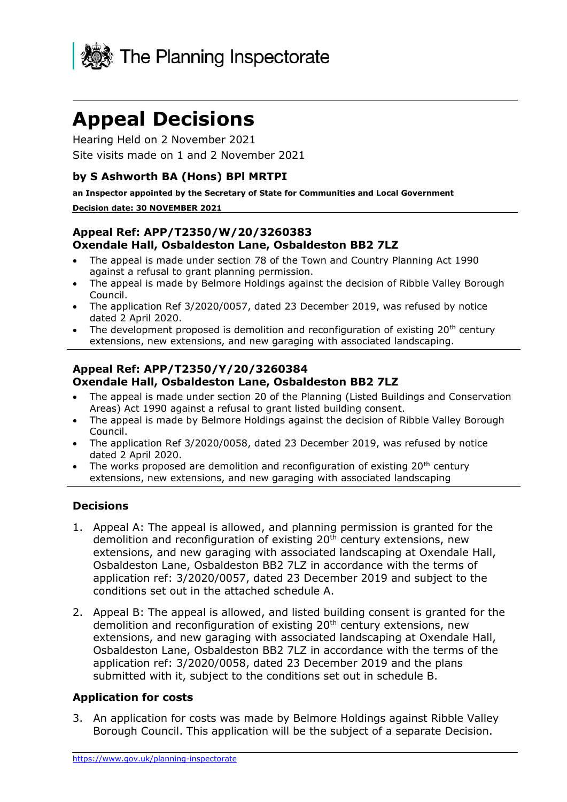

# **Appeal Decisions**

Hearing Held on 2 November 2021 Site visits made on 1 and 2 November 2021

#### **by S Ashworth BA (Hons) BPl MRTPI**

**an Inspector appointed by the Secretary of State for Communities and Local Government Decision date: 30 NOVEMBER 2021**

#### **Appeal Ref: APP/T2350/W/20/3260383 Oxendale Hall, Osbaldeston Lane, Osbaldeston BB2 7LZ**

- The appeal is made under section 78 of the Town and Country Planning Act 1990 against a refusal to grant planning permission.
- The appeal is made by Belmore Holdings against the decision of Ribble Valley Borough Council.
- The application Ref 3/2020/0057, dated 23 December 2019, was refused by notice dated 2 April 2020.
- The development proposed is demolition and reconfiguration of existing  $20<sup>th</sup>$  century extensions, new extensions, and new garaging with associated landscaping.

#### **Appeal Ref: APP/T2350/Y/20/3260384 Oxendale Hall, Osbaldeston Lane, Osbaldeston BB2 7LZ**

- The appeal is made under section 20 of the Planning (Listed Buildings and Conservation Areas) Act 1990 against a refusal to grant listed building consent.
- The appeal is made by Belmore Holdings against the decision of Ribble Valley Borough Council.
- The application Ref 3/2020/0058, dated 23 December 2019, was refused by notice dated 2 April 2020.
- The works proposed are demolition and reconfiguration of existing  $20<sup>th</sup>$  century extensions, new extensions, and new garaging with associated landscaping

#### **Decisions**

- 1. Appeal A: The appeal is allowed, and planning permission is granted for the demolition and reconfiguration of existing  $20<sup>th</sup>$  century extensions, new extensions, and new garaging with associated landscaping at Oxendale Hall, Osbaldeston Lane, Osbaldeston BB2 7LZ in accordance with the terms of application ref: 3/2020/0057, dated 23 December 2019 and subject to the conditions set out in the attached schedule A.
- 2. Appeal B: The appeal is allowed, and listed building consent is granted for the demolition and reconfiguration of existing 20<sup>th</sup> century extensions, new extensions, and new garaging with associated landscaping at Oxendale Hall, Osbaldeston Lane, Osbaldeston BB2 7LZ in accordance with the terms of the application ref: 3/2020/0058, dated 23 December 2019 and the plans submitted with it, subject to the conditions set out in schedule B.

## **Application for costs**

3. An application for costs was made by Belmore Holdings against Ribble Valley Borough Council. This application will be the subject of a separate Decision.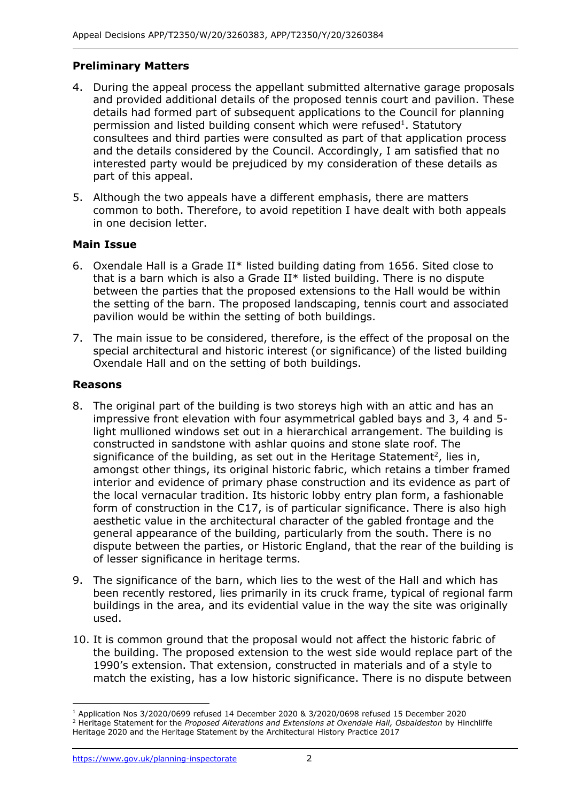## **Preliminary Matters**

- 4. During the appeal process the appellant submitted alternative garage proposals and provided additional details of the proposed tennis court and pavilion. These details had formed part of subsequent applications to the Council for planning permission and listed building consent which were refused<sup>1</sup>. Statutory consultees and third parties were consulted as part of that application process and the details considered by the Council. Accordingly, I am satisfied that no interested party would be prejudiced by my consideration of these details as part of this appeal.
- 5. Although the two appeals have a different emphasis, there are matters common to both. Therefore, to avoid repetition I have dealt with both appeals in one decision letter.

## **Main Issue**

- 6. Oxendale Hall is a Grade II\* listed building dating from 1656. Sited close to that is a barn which is also a Grade II\* listed building. There is no dispute between the parties that the proposed extensions to the Hall would be within the setting of the barn. The proposed landscaping, tennis court and associated pavilion would be within the setting of both buildings.
- 7. The main issue to be considered, therefore, is the effect of the proposal on the special architectural and historic interest (or significance) of the listed building Oxendale Hall and on the setting of both buildings.

## **Reasons**

- 8. The original part of the building is two storeys high with an attic and has an impressive front elevation with four asymmetrical gabled bays and 3, 4 and 5 light mullioned windows set out in a hierarchical arrangement. The building is constructed in sandstone with ashlar quoins and stone slate roof. The significance of the building, as set out in the Heritage Statement<sup>2</sup>, lies in, amongst other things, its original historic fabric, which retains a timber framed interior and evidence of primary phase construction and its evidence as part of the local vernacular tradition. Its historic lobby entry plan form, a fashionable form of construction in the C17, is of particular significance. There is also high aesthetic value in the architectural character of the gabled frontage and the general appearance of the building, particularly from the south. There is no dispute between the parties, or Historic England, that the rear of the building is of lesser significance in heritage terms.
- 9. The significance of the barn, which lies to the west of the Hall and which has been recently restored, lies primarily in its cruck frame, typical of regional farm buildings in the area, and its evidential value in the way the site was originally used.
- 10. It is common ground that the proposal would not affect the historic fabric of the building. The proposed extension to the west side would replace part of the 1990's extension. That extension, constructed in materials and of a style to match the existing, has a low historic significance. There is no dispute between

<sup>1</sup> Application Nos 3/2020/0699 refused 14 December 2020 & 3/2020/0698 refused 15 December 2020 <sup>2</sup> Heritage Statement for the *Proposed Alterations and Extensions at Oxendale Hall, Osbaldeston* by Hinchliffe Heritage 2020 and the Heritage Statement by the Architectural History Practice 2017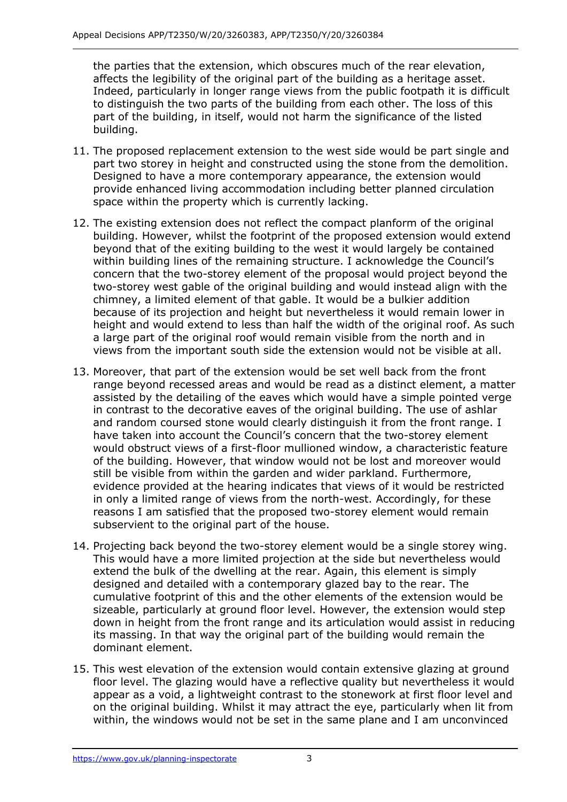the parties that the extension, which obscures much of the rear elevation, affects the legibility of the original part of the building as a heritage asset. Indeed, particularly in longer range views from the public footpath it is difficult to distinguish the two parts of the building from each other. The loss of this part of the building, in itself, would not harm the significance of the listed building.

- 11. The proposed replacement extension to the west side would be part single and part two storey in height and constructed using the stone from the demolition. Designed to have a more contemporary appearance, the extension would provide enhanced living accommodation including better planned circulation space within the property which is currently lacking.
- 12. The existing extension does not reflect the compact planform of the original building. However, whilst the footprint of the proposed extension would extend beyond that of the exiting building to the west it would largely be contained within building lines of the remaining structure. I acknowledge the Council's concern that the two-storey element of the proposal would project beyond the two-storey west gable of the original building and would instead align with the chimney, a limited element of that gable. It would be a bulkier addition because of its projection and height but nevertheless it would remain lower in height and would extend to less than half the width of the original roof. As such a large part of the original roof would remain visible from the north and in views from the important south side the extension would not be visible at all.
- 13. Moreover, that part of the extension would be set well back from the front range beyond recessed areas and would be read as a distinct element, a matter assisted by the detailing of the eaves which would have a simple pointed verge in contrast to the decorative eaves of the original building. The use of ashlar and random coursed stone would clearly distinguish it from the front range. I have taken into account the Council's concern that the two-storey element would obstruct views of a first-floor mullioned window, a characteristic feature of the building. However, that window would not be lost and moreover would still be visible from within the garden and wider parkland. Furthermore, evidence provided at the hearing indicates that views of it would be restricted in only a limited range of views from the north-west. Accordingly, for these reasons I am satisfied that the proposed two-storey element would remain subservient to the original part of the house.
- 14. Projecting back beyond the two-storey element would be a single storey wing. This would have a more limited projection at the side but nevertheless would extend the bulk of the dwelling at the rear. Again, this element is simply designed and detailed with a contemporary glazed bay to the rear. The cumulative footprint of this and the other elements of the extension would be sizeable, particularly at ground floor level. However, the extension would step down in height from the front range and its articulation would assist in reducing its massing. In that way the original part of the building would remain the dominant element.
- 15. This west elevation of the extension would contain extensive glazing at ground floor level. The glazing would have a reflective quality but nevertheless it would appear as a void, a lightweight contrast to the stonework at first floor level and on the original building. Whilst it may attract the eye, particularly when lit from within, the windows would not be set in the same plane and I am unconvinced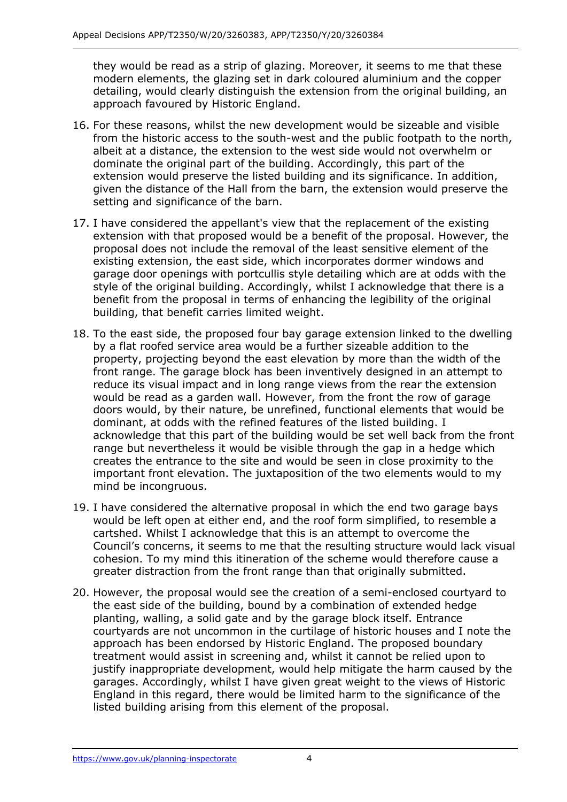they would be read as a strip of glazing. Moreover, it seems to me that these modern elements, the glazing set in dark coloured aluminium and the copper detailing, would clearly distinguish the extension from the original building, an approach favoured by Historic England.

- 16. For these reasons, whilst the new development would be sizeable and visible from the historic access to the south-west and the public footpath to the north, albeit at a distance, the extension to the west side would not overwhelm or dominate the original part of the building. Accordingly, this part of the extension would preserve the listed building and its significance. In addition, given the distance of the Hall from the barn, the extension would preserve the setting and significance of the barn.
- 17. I have considered the appellant's view that the replacement of the existing extension with that proposed would be a benefit of the proposal. However, the proposal does not include the removal of the least sensitive element of the existing extension, the east side, which incorporates dormer windows and garage door openings with portcullis style detailing which are at odds with the style of the original building. Accordingly, whilst I acknowledge that there is a benefit from the proposal in terms of enhancing the legibility of the original building, that benefit carries limited weight.
- 18. To the east side, the proposed four bay garage extension linked to the dwelling by a flat roofed service area would be a further sizeable addition to the property, projecting beyond the east elevation by more than the width of the front range. The garage block has been inventively designed in an attempt to reduce its visual impact and in long range views from the rear the extension would be read as a garden wall. However, from the front the row of garage doors would, by their nature, be unrefined, functional elements that would be dominant, at odds with the refined features of the listed building. I acknowledge that this part of the building would be set well back from the front range but nevertheless it would be visible through the gap in a hedge which creates the entrance to the site and would be seen in close proximity to the important front elevation. The juxtaposition of the two elements would to my mind be incongruous.
- 19. I have considered the alternative proposal in which the end two garage bays would be left open at either end, and the roof form simplified, to resemble a cartshed. Whilst I acknowledge that this is an attempt to overcome the Council's concerns, it seems to me that the resulting structure would lack visual cohesion. To my mind this itineration of the scheme would therefore cause a greater distraction from the front range than that originally submitted.
- 20. However, the proposal would see the creation of a semi-enclosed courtyard to the east side of the building, bound by a combination of extended hedge planting, walling, a solid gate and by the garage block itself. Entrance courtyards are not uncommon in the curtilage of historic houses and I note the approach has been endorsed by Historic England. The proposed boundary treatment would assist in screening and, whilst it cannot be relied upon to justify inappropriate development, would help mitigate the harm caused by the garages. Accordingly, whilst I have given great weight to the views of Historic England in this regard, there would be limited harm to the significance of the listed building arising from this element of the proposal.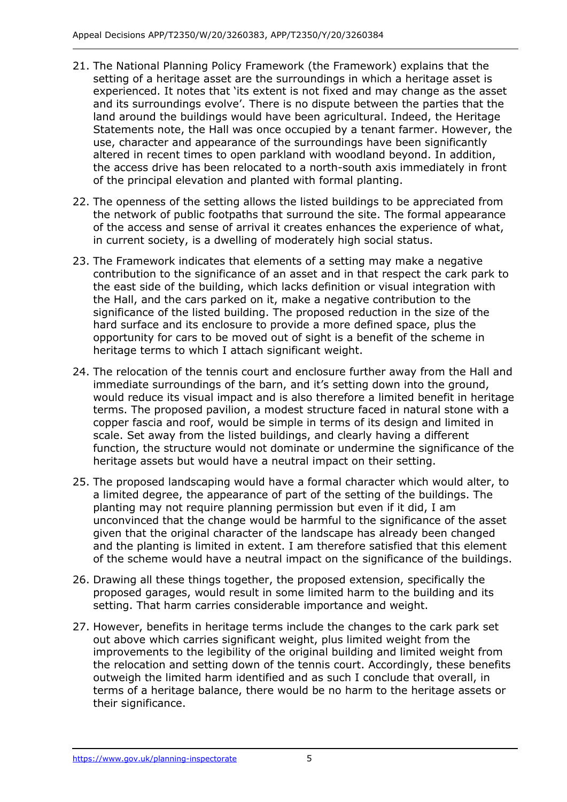- 21. The National Planning Policy Framework (the Framework) explains that the setting of a heritage asset are the surroundings in which a heritage asset is experienced. It notes that 'its extent is not fixed and may change as the asset and its surroundings evolve'. There is no dispute between the parties that the land around the buildings would have been agricultural. Indeed, the Heritage Statements note, the Hall was once occupied by a tenant farmer. However, the use, character and appearance of the surroundings have been significantly altered in recent times to open parkland with woodland beyond. In addition, the access drive has been relocated to a north-south axis immediately in front of the principal elevation and planted with formal planting.
- 22. The openness of the setting allows the listed buildings to be appreciated from the network of public footpaths that surround the site. The formal appearance of the access and sense of arrival it creates enhances the experience of what, in current society, is a dwelling of moderately high social status.
- 23. The Framework indicates that elements of a setting may make a negative contribution to the significance of an asset and in that respect the cark park to the east side of the building, which lacks definition or visual integration with the Hall, and the cars parked on it, make a negative contribution to the significance of the listed building. The proposed reduction in the size of the hard surface and its enclosure to provide a more defined space, plus the opportunity for cars to be moved out of sight is a benefit of the scheme in heritage terms to which I attach significant weight.
- 24. The relocation of the tennis court and enclosure further away from the Hall and immediate surroundings of the barn, and it's setting down into the ground, would reduce its visual impact and is also therefore a limited benefit in heritage terms. The proposed pavilion, a modest structure faced in natural stone with a copper fascia and roof, would be simple in terms of its design and limited in scale. Set away from the listed buildings, and clearly having a different function, the structure would not dominate or undermine the significance of the heritage assets but would have a neutral impact on their setting.
- 25. The proposed landscaping would have a formal character which would alter, to a limited degree, the appearance of part of the setting of the buildings. The planting may not require planning permission but even if it did, I am unconvinced that the change would be harmful to the significance of the asset given that the original character of the landscape has already been changed and the planting is limited in extent. I am therefore satisfied that this element of the scheme would have a neutral impact on the significance of the buildings.
- 26. Drawing all these things together, the proposed extension, specifically the proposed garages, would result in some limited harm to the building and its setting. That harm carries considerable importance and weight.
- 27. However, benefits in heritage terms include the changes to the cark park set out above which carries significant weight, plus limited weight from the improvements to the legibility of the original building and limited weight from the relocation and setting down of the tennis court. Accordingly, these benefits outweigh the limited harm identified and as such I conclude that overall, in terms of a heritage balance, there would be no harm to the heritage assets or their significance.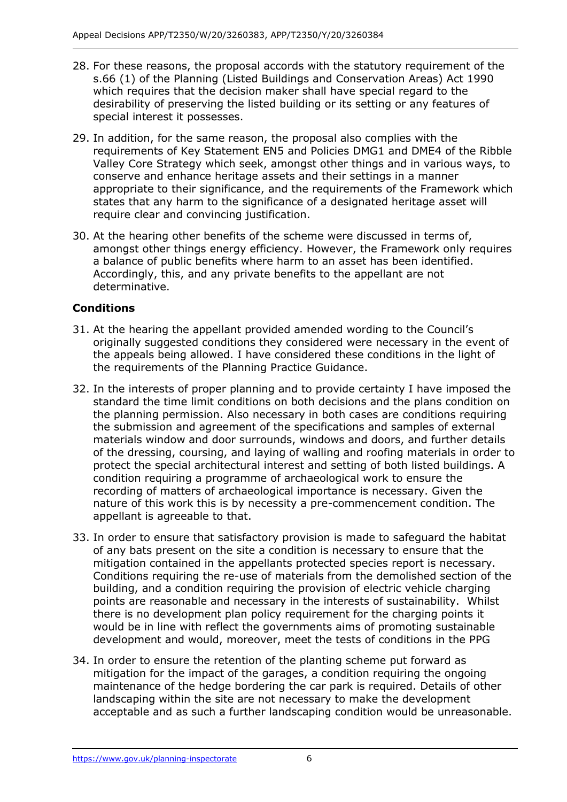- 28. For these reasons, the proposal accords with the statutory requirement of the s.66 (1) of the Planning (Listed Buildings and Conservation Areas) Act 1990 which requires that the decision maker shall have special regard to the desirability of preserving the listed building or its setting or any features of special interest it possesses.
- 29. In addition, for the same reason, the proposal also complies with the requirements of Key Statement EN5 and Policies DMG1 and DME4 of the Ribble Valley Core Strategy which seek, amongst other things and in various ways, to conserve and enhance heritage assets and their settings in a manner appropriate to their significance, and the requirements of the Framework which states that any harm to the significance of a designated heritage asset will require clear and convincing justification.
- 30. At the hearing other benefits of the scheme were discussed in terms of, amongst other things energy efficiency. However, the Framework only requires a balance of public benefits where harm to an asset has been identified. Accordingly, this, and any private benefits to the appellant are not determinative.

# **Conditions**

- 31. At the hearing the appellant provided amended wording to the Council's originally suggested conditions they considered were necessary in the event of the appeals being allowed. I have considered these conditions in the light of the requirements of the Planning Practice Guidance.
- 32. In the interests of proper planning and to provide certainty I have imposed the standard the time limit conditions on both decisions and the plans condition on the planning permission. Also necessary in both cases are conditions requiring the submission and agreement of the specifications and samples of external materials window and door surrounds, windows and doors, and further details of the dressing, coursing, and laying of walling and roofing materials in order to protect the special architectural interest and setting of both listed buildings. A condition requiring a programme of archaeological work to ensure the recording of matters of archaeological importance is necessary. Given the nature of this work this is by necessity a pre-commencement condition. The appellant is agreeable to that.
- 33. In order to ensure that satisfactory provision is made to safeguard the habitat of any bats present on the site a condition is necessary to ensure that the mitigation contained in the appellants protected species report is necessary. Conditions requiring the re-use of materials from the demolished section of the building, and a condition requiring the provision of electric vehicle charging points are reasonable and necessary in the interests of sustainability. Whilst there is no development plan policy requirement for the charging points it would be in line with reflect the governments aims of promoting sustainable development and would, moreover, meet the tests of conditions in the PPG
- 34. In order to ensure the retention of the planting scheme put forward as mitigation for the impact of the garages, a condition requiring the ongoing maintenance of the hedge bordering the car park is required. Details of other landscaping within the site are not necessary to make the development acceptable and as such a further landscaping condition would be unreasonable.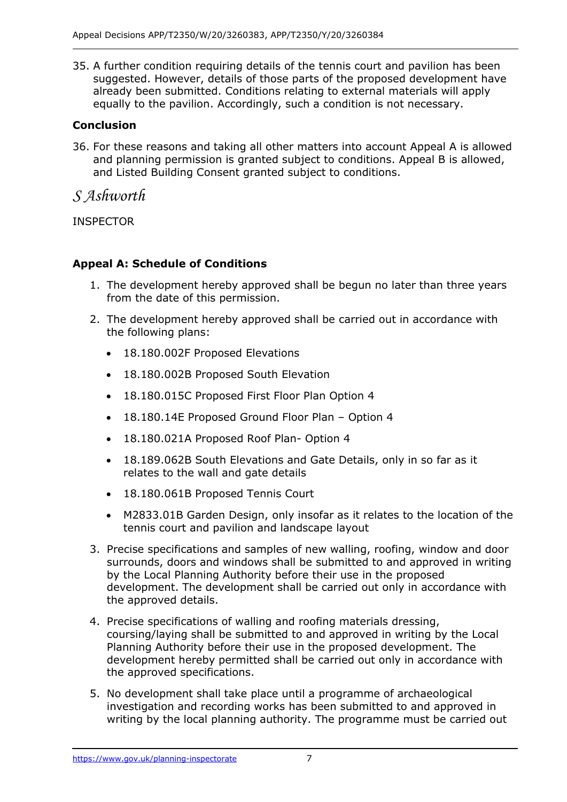35. A further condition requiring details of the tennis court and pavilion has been suggested. However, details of those parts of the proposed development have already been submitted. Conditions relating to external materials will apply equally to the pavilion. Accordingly, such a condition is not necessary.

# **Conclusion**

36. For these reasons and taking all other matters into account Appeal A is allowed and planning permission is granted subject to conditions. Appeal B is allowed, and Listed Building Consent granted subject to conditions.

*S Ashworth*

INSPECTOR

# **Appeal A: Schedule of Conditions**

- 1. The development hereby approved shall be begun no later than three years from the date of this permission.
- 2. The development hereby approved shall be carried out in accordance with the following plans:
	- 18.180.002F Proposed Elevations
	- 18.180.002B Proposed South Elevation
	- 18.180.015C Proposed First Floor Plan Option 4
	- 18.180.14E Proposed Ground Floor Plan Option 4
	- 18.180.021A Proposed Roof Plan- Option 4
	- 18.189.062B South Elevations and Gate Details, only in so far as it relates to the wall and gate details
	- 18.180.061B Proposed Tennis Court
	- M2833.01B Garden Design, only insofar as it relates to the location of the tennis court and pavilion and landscape layout
- 3. Precise specifications and samples of new walling, roofing, window and door surrounds, doors and windows shall be submitted to and approved in writing by the Local Planning Authority before their use in the proposed development. The development shall be carried out only in accordance with the approved details.
- 4. Precise specifications of walling and roofing materials dressing, coursing/laying shall be submitted to and approved in writing by the Local Planning Authority before their use in the proposed development. The development hereby permitted shall be carried out only in accordance with the approved specifications.
- 5. No development shall take place until a programme of archaeological investigation and recording works has been submitted to and approved in writing by the local planning authority. The programme must be carried out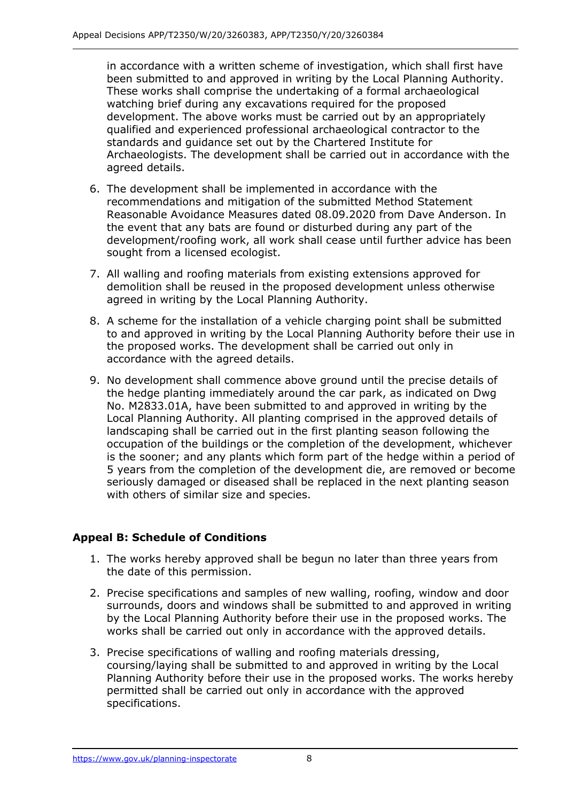in accordance with a written scheme of investigation, which shall first have been submitted to and approved in writing by the Local Planning Authority. These works shall comprise the undertaking of a formal archaeological watching brief during any excavations required for the proposed development. The above works must be carried out by an appropriately qualified and experienced professional archaeological contractor to the standards and guidance set out by the Chartered Institute for Archaeologists. The development shall be carried out in accordance with the agreed details.

- 6. The development shall be implemented in accordance with the recommendations and mitigation of the submitted Method Statement Reasonable Avoidance Measures dated 08.09.2020 from Dave Anderson. In the event that any bats are found or disturbed during any part of the development/roofing work, all work shall cease until further advice has been sought from a licensed ecologist.
- 7. All walling and roofing materials from existing extensions approved for demolition shall be reused in the proposed development unless otherwise agreed in writing by the Local Planning Authority.
- 8. A scheme for the installation of a vehicle charging point shall be submitted to and approved in writing by the Local Planning Authority before their use in the proposed works. The development shall be carried out only in accordance with the agreed details.
- 9. No development shall commence above ground until the precise details of the hedge planting immediately around the car park, as indicated on Dwg No. M2833.01A, have been submitted to and approved in writing by the Local Planning Authority. All planting comprised in the approved details of landscaping shall be carried out in the first planting season following the occupation of the buildings or the completion of the development, whichever is the sooner; and any plants which form part of the hedge within a period of 5 years from the completion of the development die, are removed or become seriously damaged or diseased shall be replaced in the next planting season with others of similar size and species.

## **Appeal B: Schedule of Conditions**

- 1. The works hereby approved shall be begun no later than three years from the date of this permission.
- 2. Precise specifications and samples of new walling, roofing, window and door surrounds, doors and windows shall be submitted to and approved in writing by the Local Planning Authority before their use in the proposed works. The works shall be carried out only in accordance with the approved details.
- 3. Precise specifications of walling and roofing materials dressing, coursing/laying shall be submitted to and approved in writing by the Local Planning Authority before their use in the proposed works. The works hereby permitted shall be carried out only in accordance with the approved specifications.